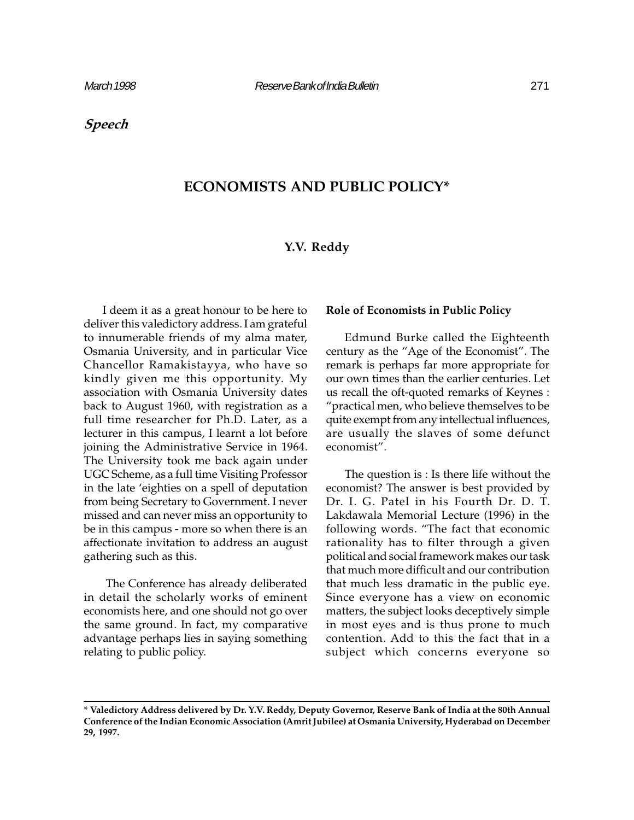## Speech

# ECONOMISTS AND PUBLIC POLICY\*

### Y.V. Reddy

I deem it as a great honour to be here to deliver this valedictory address. I am grateful to innumerable friends of my alma mater, Osmania University, and in particular Vice Chancellor Ramakistayya, who have so kindly given me this opportunity. My association with Osmania University dates back to August 1960, with registration as a full time researcher for Ph.D. Later, as a lecturer in this campus, I learnt a lot before joining the Administrative Service in 1964. The University took me back again under UGC Scheme, as a full time Visiting Professor in the late 'eighties on a spell of deputation from being Secretary to Government. I never missed and can never miss an opportunity to be in this campus - more so when there is an affectionate invitation to address an august gathering such as this.

 The Conference has already deliberated in detail the scholarly works of eminent economists here, and one should not go over the same ground. In fact, my comparative advantage perhaps lies in saying something relating to public policy.

#### Role of Economists in Public Policy

Edmund Burke called the Eighteenth century as the "Age of the Economist". The remark is perhaps far more appropriate for our own times than the earlier centuries. Let us recall the oft-quoted remarks of Keynes : practical men, who believe themselves to be quite exempt from any intellectual influences, are usually the slaves of some defunct economist".

The question is : Is there life without the economist? The answer is best provided by Dr. I. G. Patel in his Fourth Dr. D. T. Lakdawala Memorial Lecture (1996) in the following words. "The fact that economic rationality has to filter through a given political and social framework makes our task that much more difficult and our contribution that much less dramatic in the public eye. Since everyone has a view on economic matters, the subject looks deceptively simple in most eyes and is thus prone to much contention. Add to this the fact that in a subject which concerns everyone so

<sup>\*</sup> Valedictory Address delivered by Dr. Y.V. Reddy, Deputy Governor, Reserve Bank of India at the 80th Annual Conference of the Indian Economic Association (Amrit Jubilee) at Osmania University, Hyderabad on December 29, 1997.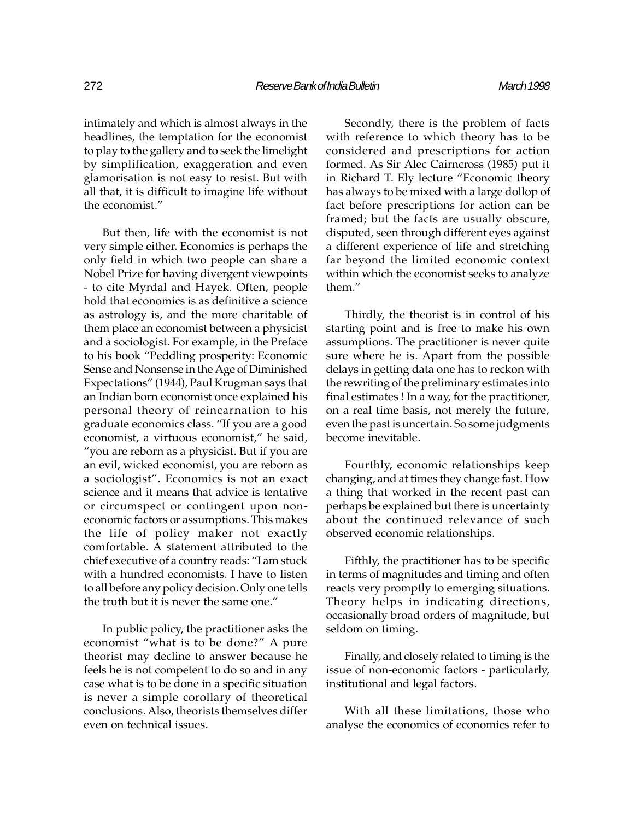intimately and which is almost always in the headlines, the temptation for the economist to play to the gallery and to seek the limelight by simplification, exaggeration and even glamorisation is not easy to resist. But with all that, it is difficult to imagine life without the economist.

But then, life with the economist is not very simple either. Economics is perhaps the only field in which two people can share a Nobel Prize for having divergent viewpoints - to cite Myrdal and Hayek. Often, people hold that economics is as definitive a science as astrology is, and the more charitable of them place an economist between a physicist and a sociologist. For example, in the Preface to his book "Peddling prosperity: Economic Sense and Nonsense in the Age of Diminished Expectations" (1944), Paul Krugman says that an Indian born economist once explained his personal theory of reincarnation to his graduate economics class. "If you are a good economist, a virtuous economist," he said, you are reborn as a physicist. But if you are an evil, wicked economist, you are reborn as a sociologist". Economics is not an exact science and it means that advice is tentative or circumspect or contingent upon noneconomic factors or assumptions. This makes the life of policy maker not exactly comfortable. A statement attributed to the chief executive of a country reads: "I am stuck with a hundred economists. I have to listen to all before any policy decision. Only one tells the truth but it is never the same one.

In public policy, the practitioner asks the economist "what is to be done?" A pure theorist may decline to answer because he feels he is not competent to do so and in any case what is to be done in a specific situation is never a simple corollary of theoretical conclusions. Also, theorists themselves differ even on technical issues.

Secondly, there is the problem of facts with reference to which theory has to be considered and prescriptions for action formed. As Sir Alec Cairncross (1985) put it in Richard T. Ely lecture "Economic theory has always to be mixed with a large dollop of fact before prescriptions for action can be framed; but the facts are usually obscure, disputed, seen through different eyes against a different experience of life and stretching far beyond the limited economic context within which the economist seeks to analyze them.

Thirdly, the theorist is in control of his starting point and is free to make his own assumptions. The practitioner is never quite sure where he is. Apart from the possible delays in getting data one has to reckon with the rewriting of the preliminary estimates into final estimates ! In a way, for the practitioner, on a real time basis, not merely the future, even the past is uncertain. So some judgments become inevitable.

Fourthly, economic relationships keep changing, and at times they change fast. How a thing that worked in the recent past can perhaps be explained but there is uncertainty about the continued relevance of such observed economic relationships.

Fifthly, the practitioner has to be specific in terms of magnitudes and timing and often reacts very promptly to emerging situations. Theory helps in indicating directions, occasionally broad orders of magnitude, but seldom on timing.

Finally, and closely related to timing is the issue of non-economic factors - particularly, institutional and legal factors.

With all these limitations, those who analyse the economics of economics refer to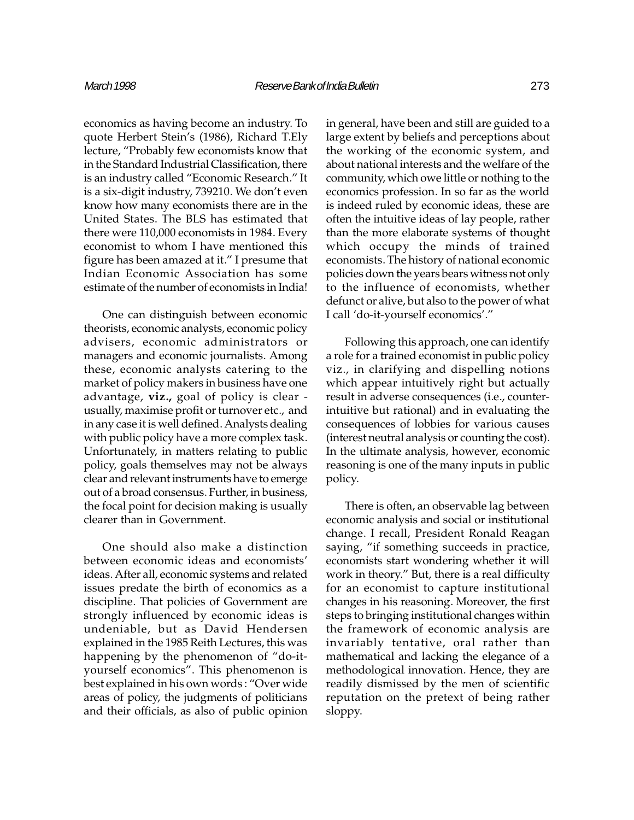economics as having become an industry. To quote Herbert Stein's (1986), Richard T.Ely lecture, "Probably few economists know that in the Standard Industrial Classification, there is an industry called "Economic Research." It is a six-digit industry, 739210. We don't even know how many economists there are in the United States. The BLS has estimated that there were 110,000 economists in 1984. Every economist to whom I have mentioned this figure has been amazed at it." I presume that Indian Economic Association has some estimate of the number of economists in India!

One can distinguish between economic theorists, economic analysts, economic policy advisers, economic administrators or managers and economic journalists. Among these, economic analysts catering to the market of policy makers in business have one advantage, viz., goal of policy is clear usually, maximise profit or turnover etc., and in any case it is well defined. Analysts dealing with public policy have a more complex task. Unfortunately, in matters relating to public policy, goals themselves may not be always clear and relevant instruments have to emerge out of a broad consensus. Further, in business, the focal point for decision making is usually clearer than in Government.

One should also make a distinction between economic ideas and economists ideas. After all, economic systems and related issues predate the birth of economics as a discipline. That policies of Government are strongly influenced by economic ideas is undeniable, but as David Hendersen explained in the 1985 Reith Lectures, this was happening by the phenomenon of "do-ityourself economics". This phenomenon is best explained in his own words : "Over wide areas of policy, the judgments of politicians and their officials, as also of public opinion

in general, have been and still are guided to a large extent by beliefs and perceptions about the working of the economic system, and about national interests and the welfare of the community, which owe little or nothing to the economics profession. In so far as the world is indeed ruled by economic ideas, these are often the intuitive ideas of lay people, rather than the more elaborate systems of thought which occupy the minds of trained economists. The history of national economic policies down the years bears witness not only to the influence of economists, whether defunct or alive, but also to the power of what I call 'do-it-yourself economics'."

Following this approach, one can identify a role for a trained economist in public policy viz., in clarifying and dispelling notions which appear intuitively right but actually result in adverse consequences (i.e., counterintuitive but rational) and in evaluating the consequences of lobbies for various causes (interest neutral analysis or counting the cost). In the ultimate analysis, however, economic reasoning is one of the many inputs in public policy.

There is often, an observable lag between economic analysis and social or institutional change. I recall, President Ronald Reagan saying, "if something succeeds in practice, economists start wondering whether it will work in theory." But, there is a real difficulty for an economist to capture institutional changes in his reasoning. Moreover, the first steps to bringing institutional changes within the framework of economic analysis are invariably tentative, oral rather than mathematical and lacking the elegance of a methodological innovation. Hence, they are readily dismissed by the men of scientific reputation on the pretext of being rather sloppy.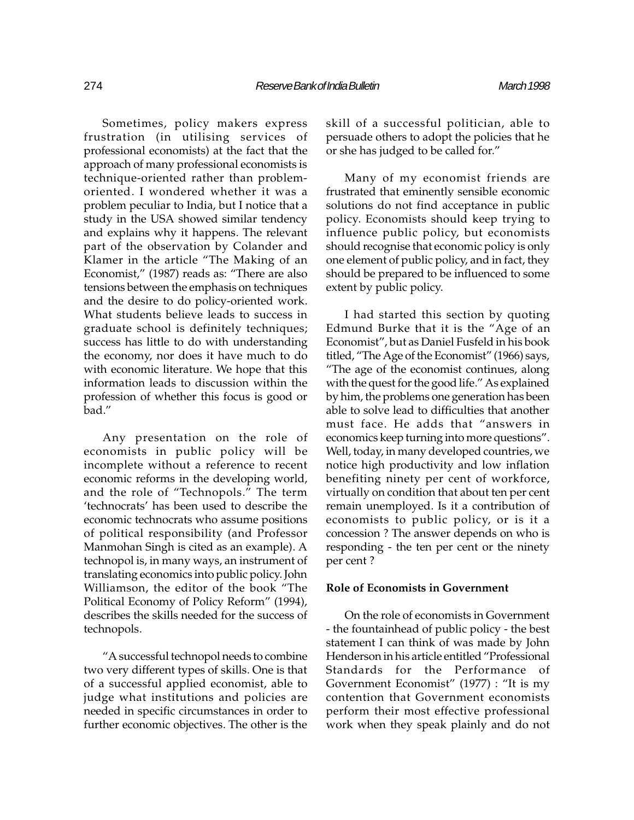Sometimes, policy makers express frustration (in utilising services of professional economists) at the fact that the approach of many professional economists is technique-oriented rather than problemoriented. I wondered whether it was a problem peculiar to India, but I notice that a study in the USA showed similar tendency and explains why it happens. The relevant part of the observation by Colander and Klamer in the article "The Making of an Economist," (1987) reads as: "There are also tensions between the emphasis on techniques and the desire to do policy-oriented work. What students believe leads to success in graduate school is definitely techniques; success has little to do with understanding the economy, nor does it have much to do with economic literature. We hope that this information leads to discussion within the profession of whether this focus is good or bad.

Any presentation on the role of economists in public policy will be incomplete without a reference to recent economic reforms in the developing world, and the role of "Technopols." The term 'technocrats' has been used to describe the economic technocrats who assume positions of political responsibility (and Professor Manmohan Singh is cited as an example). A technopol is, in many ways, an instrument of translating economics into public policy. John Williamson, the editor of the book "The Political Economy of Policy Reform" (1994), describes the skills needed for the success of technopols.

A successful technopol needs to combine two very different types of skills. One is that of a successful applied economist, able to judge what institutions and policies are needed in specific circumstances in order to further economic objectives. The other is the skill of a successful politician, able to persuade others to adopt the policies that he or she has judged to be called for.

Many of my economist friends are frustrated that eminently sensible economic solutions do not find acceptance in public policy. Economists should keep trying to influence public policy, but economists should recognise that economic policy is only one element of public policy, and in fact, they should be prepared to be influenced to some extent by public policy.

I had started this section by quoting Edmund Burke that it is the "Age of an Economist", but as Daniel Fusfeld in his book titled, "The Age of the Economist" (1966) says, The age of the economist continues, along with the quest for the good life." As explained by him, the problems one generation has been able to solve lead to difficulties that another must face. He adds that "answers in economics keep turning into more questions". Well, today, in many developed countries, we notice high productivity and low inflation benefiting ninety per cent of workforce, virtually on condition that about ten per cent remain unemployed. Is it a contribution of economists to public policy, or is it a concession ? The answer depends on who is responding - the ten per cent or the ninety per cent ?

#### Role of Economists in Government

On the role of economists in Government - the fountainhead of public policy - the best statement I can think of was made by John Henderson in his article entitled "Professional Standards for the Performance of Government Economist" (1977) : "It is my contention that Government economists perform their most effective professional work when they speak plainly and do not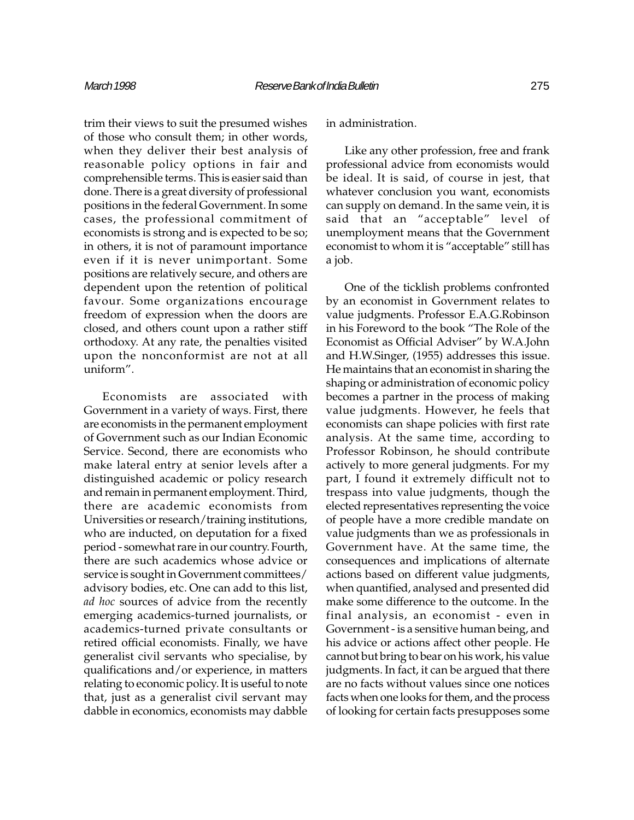trim their views to suit the presumed wishes of those who consult them; in other words, when they deliver their best analysis of reasonable policy options in fair and comprehensible terms. This is easier said than done. There is a great diversity of professional positions in the federal Government. In some cases, the professional commitment of economists is strong and is expected to be so; in others, it is not of paramount importance even if it is never unimportant. Some positions are relatively secure, and others are dependent upon the retention of political favour. Some organizations encourage freedom of expression when the doors are closed, and others count upon a rather stiff orthodoxy. At any rate, the penalties visited upon the nonconformist are not at all uniform".

Economists are associated with Government in a variety of ways. First, there are economists in the permanent employment of Government such as our Indian Economic Service. Second, there are economists who make lateral entry at senior levels after a distinguished academic or policy research and remain in permanent employment. Third, there are academic economists from Universities or research/training institutions, who are inducted, on deputation for a fixed period - somewhat rare in our country. Fourth, there are such academics whose advice or service is sought in Government committees/ advisory bodies, etc. One can add to this list, ad hoc sources of advice from the recently emerging academics-turned journalists, or academics-turned private consultants or retired official economists. Finally, we have generalist civil servants who specialise, by qualifications and/or experience, in matters relating to economic policy. It is useful to note that, just as a generalist civil servant may dabble in economics, economists may dabble

in administration.

Like any other profession, free and frank professional advice from economists would be ideal. It is said, of course in jest, that whatever conclusion you want, economists can supply on demand. In the same vein, it is said that an "acceptable" level of unemployment means that the Government economist to whom it is "acceptable" still has a job.

One of the ticklish problems confronted by an economist in Government relates to value judgments. Professor E.A.G.Robinson in his Foreword to the book "The Role of the Economist as Official Adviser" by W.A.John and H.W.Singer, (1955) addresses this issue. He maintains that an economist in sharing the shaping or administration of economic policy becomes a partner in the process of making value judgments. However, he feels that economists can shape policies with first rate analysis. At the same time, according to Professor Robinson, he should contribute actively to more general judgments. For my part, I found it extremely difficult not to trespass into value judgments, though the elected representatives representing the voice of people have a more credible mandate on value judgments than we as professionals in Government have. At the same time, the consequences and implications of alternate actions based on different value judgments, when quantified, analysed and presented did make some difference to the outcome. In the final analysis, an economist - even in Government - is a sensitive human being, and his advice or actions affect other people. He cannot but bring to bear on his work, his value judgments. In fact, it can be argued that there are no facts without values since one notices facts when one looks for them, and the process of looking for certain facts presupposes some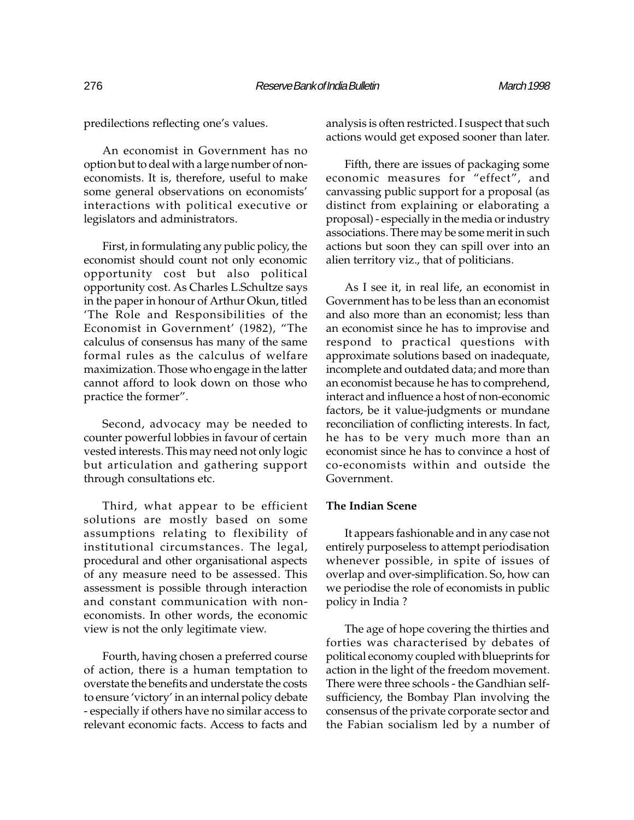predilections reflecting one's values.

An economist in Government has no option but to deal with a large number of noneconomists. It is, therefore, useful to make some general observations on economists interactions with political executive or legislators and administrators.

First, in formulating any public policy, the economist should count not only economic opportunity cost but also political opportunity cost. As Charles L.Schultze says in the paper in honour of Arthur Okun, titled The Role and Responsibilities of the Economist in Government' (1982), "The calculus of consensus has many of the same formal rules as the calculus of welfare maximization. Those who engage in the latter cannot afford to look down on those who practice the former".

Second, advocacy may be needed to counter powerful lobbies in favour of certain vested interests. This may need not only logic but articulation and gathering support through consultations etc.

Third, what appear to be efficient solutions are mostly based on some assumptions relating to flexibility of institutional circumstances. The legal, procedural and other organisational aspects of any measure need to be assessed. This assessment is possible through interaction and constant communication with noneconomists. In other words, the economic view is not the only legitimate view.

Fourth, having chosen a preferred course of action, there is a human temptation to overstate the benefits and understate the costs to ensure 'victory' in an internal policy debate - especially if others have no similar access to relevant economic facts. Access to facts and

analysis is often restricted. I suspect that such actions would get exposed sooner than later.

Fifth, there are issues of packaging some economic measures for "effect", and canvassing public support for a proposal (as distinct from explaining or elaborating a proposal) - especially in the media or industry associations. There may be some merit in such actions but soon they can spill over into an alien territory viz., that of politicians.

As I see it, in real life, an economist in Government has to be less than an economist and also more than an economist; less than an economist since he has to improvise and respond to practical questions with approximate solutions based on inadequate, incomplete and outdated data; and more than an economist because he has to comprehend, interact and influence a host of non-economic factors, be it value-judgments or mundane reconciliation of conflicting interests. In fact, he has to be very much more than an economist since he has to convince a host of co-economists within and outside the Government.

### The Indian Scene

It appears fashionable and in any case not entirely purposeless to attempt periodisation whenever possible, in spite of issues of overlap and over-simplification. So, how can we periodise the role of economists in public policy in India ?

The age of hope covering the thirties and forties was characterised by debates of political economy coupled with blueprints for action in the light of the freedom movement. There were three schools - the Gandhian selfsufficiency, the Bombay Plan involving the consensus of the private corporate sector and the Fabian socialism led by a number of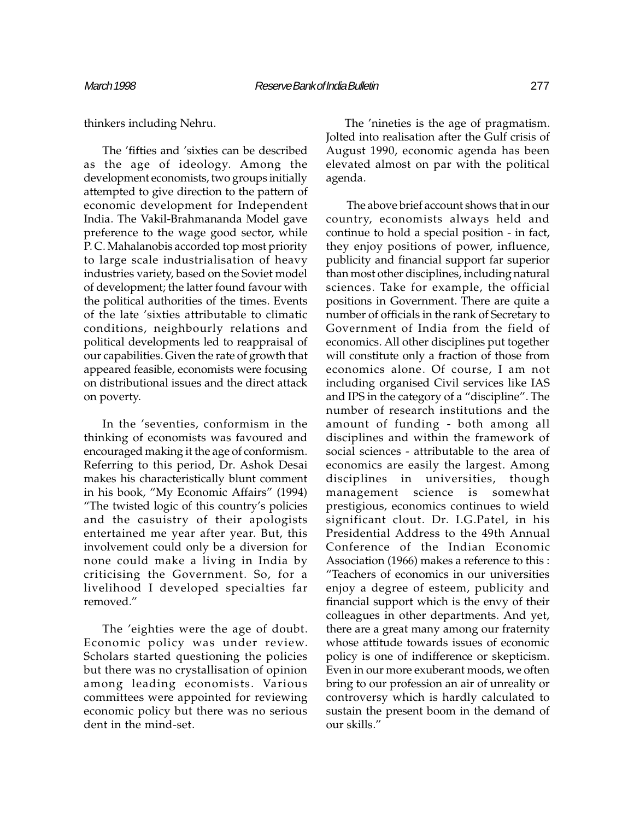thinkers including Nehru.

The 'fifties and 'sixties can be described as the age of ideology. Among the development economists, two groups initially attempted to give direction to the pattern of economic development for Independent India. The Vakil-Brahmananda Model gave preference to the wage good sector, while P. C. Mahalanobis accorded top most priority to large scale industrialisation of heavy industries variety, based on the Soviet model of development; the latter found favour with the political authorities of the times. Events of the late 'sixties attributable to climatic conditions, neighbourly relations and political developments led to reappraisal of our capabilities. Given the rate of growth that appeared feasible, economists were focusing on distributional issues and the direct attack on poverty.

In the 'seventies, conformism in the thinking of economists was favoured and encouraged making it the age of conformism. Referring to this period, Dr. Ashok Desai makes his characteristically blunt comment in his book, "My Economic Affairs" (1994) "The twisted logic of this country's policies and the casuistry of their apologists entertained me year after year. But, this involvement could only be a diversion for none could make a living in India by criticising the Government. So, for a livelihood I developed specialties far removed.

The 'eighties were the age of doubt. Economic policy was under review. Scholars started questioning the policies but there was no crystallisation of opinion among leading economists. Various committees were appointed for reviewing economic policy but there was no serious dent in the mind-set.

The 'nineties is the age of pragmatism. Jolted into realisation after the Gulf crisis of August 1990, economic agenda has been elevated almost on par with the political agenda.

 The above brief account shows that in our country, economists always held and continue to hold a special position - in fact, they enjoy positions of power, influence, publicity and financial support far superior than most other disciplines, including natural sciences. Take for example, the official positions in Government. There are quite a number of officials in the rank of Secretary to Government of India from the field of economics. All other disciplines put together will constitute only a fraction of those from economics alone. Of course, I am not including organised Civil services like IAS and IPS in the category of a "discipline". The number of research institutions and the amount of funding - both among all disciplines and within the framework of social sciences - attributable to the area of economics are easily the largest. Among disciplines in universities, though management science is somewhat prestigious, economics continues to wield significant clout. Dr. I.G.Patel, in his Presidential Address to the 49th Annual Conference of the Indian Economic Association (1966) makes a reference to this : Teachers of economics in our universities enjoy a degree of esteem, publicity and financial support which is the envy of their colleagues in other departments. And yet, there are a great many among our fraternity whose attitude towards issues of economic policy is one of indifference or skepticism. Even in our more exuberant moods, we often bring to our profession an air of unreality or controversy which is hardly calculated to sustain the present boom in the demand of our skills.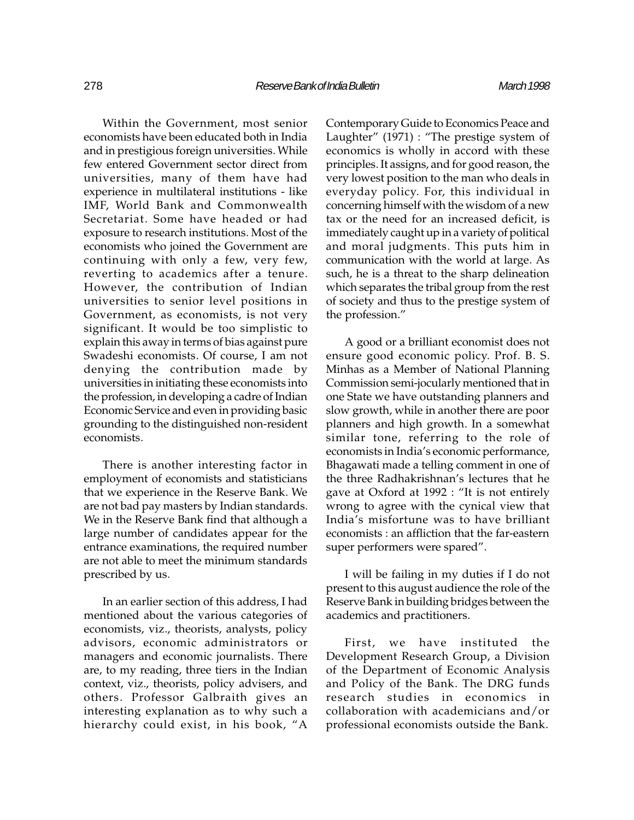Within the Government, most senior economists have been educated both in India and in prestigious foreign universities. While few entered Government sector direct from universities, many of them have had experience in multilateral institutions - like IMF, World Bank and Commonwealth Secretariat. Some have headed or had exposure to research institutions. Most of the economists who joined the Government are continuing with only a few, very few, reverting to academics after a tenure. However, the contribution of Indian universities to senior level positions in Government, as economists, is not very significant. It would be too simplistic to explain this away in terms of bias against pure Swadeshi economists. Of course, I am not denying the contribution made by universities in initiating these economists into the profession, in developing a cadre of Indian Economic Service and even in providing basic grounding to the distinguished non-resident economists.

There is another interesting factor in employment of economists and statisticians that we experience in the Reserve Bank. We are not bad pay masters by Indian standards. We in the Reserve Bank find that although a large number of candidates appear for the entrance examinations, the required number are not able to meet the minimum standards prescribed by us.

In an earlier section of this address, I had mentioned about the various categories of economists, viz., theorists, analysts, policy advisors, economic administrators or managers and economic journalists. There are, to my reading, three tiers in the Indian context, viz., theorists, policy advisers, and others. Professor Galbraith gives an interesting explanation as to why such a hierarchy could exist, in his book, "A Contemporary Guide to Economics Peace and Laughter"  $(1971)$ : "The prestige system of economics is wholly in accord with these principles. It assigns, and for good reason, the very lowest position to the man who deals in everyday policy. For, this individual in concerning himself with the wisdom of a new tax or the need for an increased deficit, is immediately caught up in a variety of political and moral judgments. This puts him in communication with the world at large. As such, he is a threat to the sharp delineation which separates the tribal group from the rest of society and thus to the prestige system of the profession.

A good or a brilliant economist does not ensure good economic policy. Prof. B. S. Minhas as a Member of National Planning Commission semi-jocularly mentioned that in one State we have outstanding planners and slow growth, while in another there are poor planners and high growth. In a somewhat similar tone, referring to the role of economists in India's economic performance, Bhagawati made a telling comment in one of the three Radhakrishnan's lectures that he gave at Oxford at 1992 : "It is not entirely wrong to agree with the cynical view that India's misfortune was to have brilliant economists : an affliction that the far-eastern super performers were spared".

I will be failing in my duties if I do not present to this august audience the role of the Reserve Bank in building bridges between the academics and practitioners.

First, we have instituted the Development Research Group, a Division of the Department of Economic Analysis and Policy of the Bank. The DRG funds research studies in economics in collaboration with academicians and/or professional economists outside the Bank.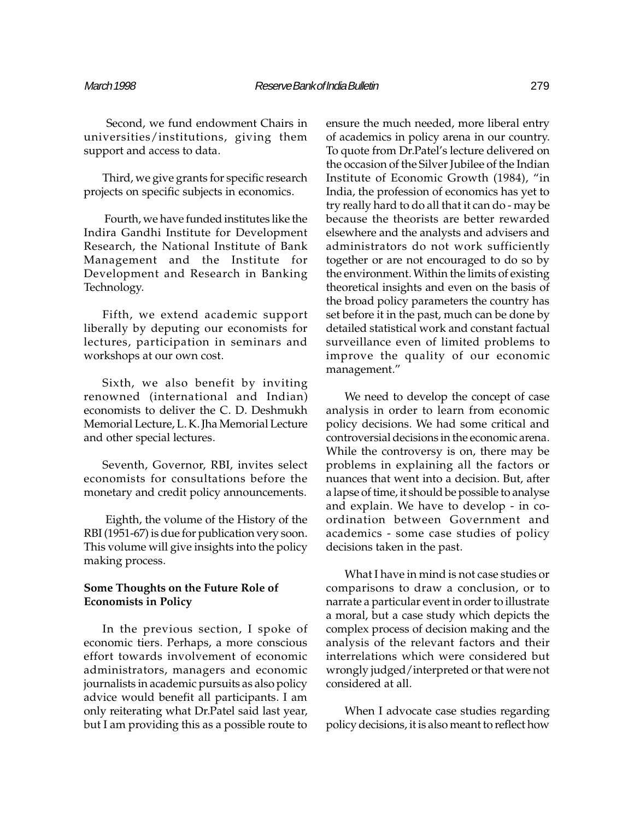Second, we fund endowment Chairs in universities/institutions, giving them support and access to data.

Third, we give grants for specific research projects on specific subjects in economics.

 Fourth, we have funded institutes like the Indira Gandhi Institute for Development Research, the National Institute of Bank Management and the Institute for Development and Research in Banking Technology.

Fifth, we extend academic support liberally by deputing our economists for lectures, participation in seminars and workshops at our own cost.

Sixth, we also benefit by inviting renowned (international and Indian) economists to deliver the C. D. Deshmukh Memorial Lecture, L. K. Jha Memorial Lecture and other special lectures.

Seventh, Governor, RBI, invites select economists for consultations before the monetary and credit policy announcements.

 Eighth, the volume of the History of the RBI (1951-67) is due for publication very soon. This volume will give insights into the policy making process.

## Some Thoughts on the Future Role of Economists in Policy

In the previous section, I spoke of economic tiers. Perhaps, a more conscious effort towards involvement of economic administrators, managers and economic journalists in academic pursuits as also policy advice would benefit all participants. I am only reiterating what Dr.Patel said last year, but I am providing this as a possible route to ensure the much needed, more liberal entry of academics in policy arena in our country. To quote from Dr.Patel's lecture delivered on the occasion of the Silver Jubilee of the Indian Institute of Economic Growth (1984), "in India, the profession of economics has yet to try really hard to do all that it can do - may be because the theorists are better rewarded elsewhere and the analysts and advisers and administrators do not work sufficiently together or are not encouraged to do so by the environment. Within the limits of existing theoretical insights and even on the basis of the broad policy parameters the country has set before it in the past, much can be done by detailed statistical work and constant factual surveillance even of limited problems to improve the quality of our economic management.

We need to develop the concept of case analysis in order to learn from economic policy decisions. We had some critical and controversial decisions in the economic arena. While the controversy is on, there may be problems in explaining all the factors or nuances that went into a decision. But, after a lapse of time, it should be possible to analyse and explain. We have to develop - in coordination between Government and academics - some case studies of policy decisions taken in the past.

What I have in mind is not case studies or comparisons to draw a conclusion, or to narrate a particular event in order to illustrate a moral, but a case study which depicts the complex process of decision making and the analysis of the relevant factors and their interrelations which were considered but wrongly judged/interpreted or that were not considered at all.

When I advocate case studies regarding policy decisions, it is also meant to reflect how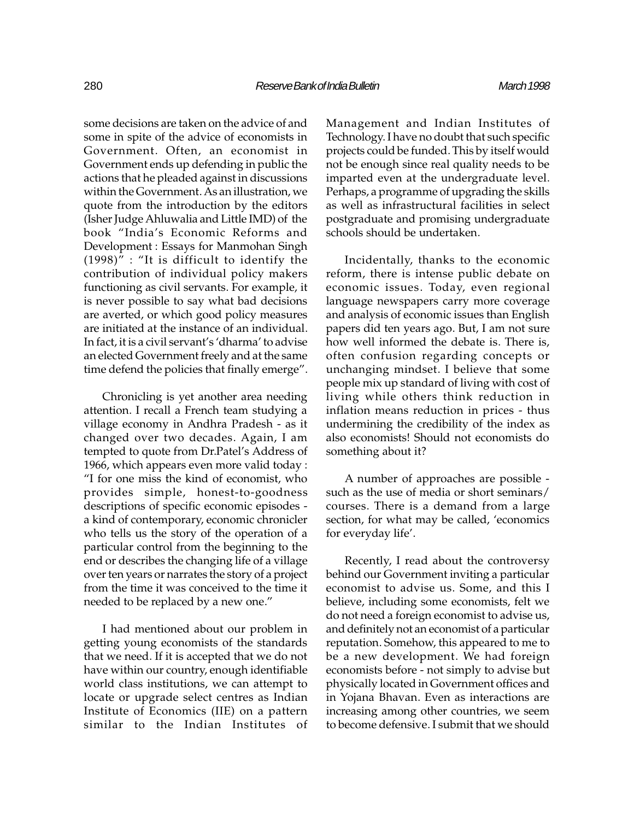some decisions are taken on the advice of and some in spite of the advice of economists in Government. Often, an economist in Government ends up defending in public the actions that he pleaded against in discussions within the Government. As an illustration, we quote from the introduction by the editors (Isher Judge Ahluwalia and Little IMD) of the book "India's Economic Reforms and Development : Essays for Manmohan Singh  $(1998)$ " : "It is difficult to identify the contribution of individual policy makers functioning as civil servants. For example, it is never possible to say what bad decisions are averted, or which good policy measures are initiated at the instance of an individual. In fact, it is a civil servant's 'dharma' to advise an elected Government freely and at the same time defend the policies that finally emerge".

Chronicling is yet another area needing attention. I recall a French team studying a village economy in Andhra Pradesh - as it changed over two decades. Again, I am tempted to quote from Dr.Patel's Address of 1966, which appears even more valid today : I for one miss the kind of economist, who provides simple, honest-to-goodness descriptions of specific economic episodes a kind of contemporary, economic chronicler who tells us the story of the operation of a particular control from the beginning to the end or describes the changing life of a village over ten years or narrates the story of a project from the time it was conceived to the time it needed to be replaced by a new one.

I had mentioned about our problem in getting young economists of the standards that we need. If it is accepted that we do not have within our country, enough identifiable world class institutions, we can attempt to locate or upgrade select centres as Indian Institute of Economics (IIE) on a pattern similar to the Indian Institutes of

Management and Indian Institutes of Technology. I have no doubt that such specific projects could be funded. This by itself would not be enough since real quality needs to be imparted even at the undergraduate level. Perhaps, a programme of upgrading the skills as well as infrastructural facilities in select postgraduate and promising undergraduate schools should be undertaken.

Incidentally, thanks to the economic reform, there is intense public debate on economic issues. Today, even regional language newspapers carry more coverage and analysis of economic issues than English papers did ten years ago. But, I am not sure how well informed the debate is. There is, often confusion regarding concepts or unchanging mindset. I believe that some people mix up standard of living with cost of living while others think reduction in inflation means reduction in prices - thus undermining the credibility of the index as also economists! Should not economists do something about it?

A number of approaches are possible such as the use of media or short seminars/ courses. There is a demand from a large section, for what may be called, 'economics for everyday life'.

Recently, I read about the controversy behind our Government inviting a particular economist to advise us. Some, and this I believe, including some economists, felt we do not need a foreign economist to advise us, and definitely not an economist of a particular reputation. Somehow, this appeared to me to be a new development. We had foreign economists before - not simply to advise but physically located in Government offices and in Yojana Bhavan. Even as interactions are increasing among other countries, we seem to become defensive. I submit that we should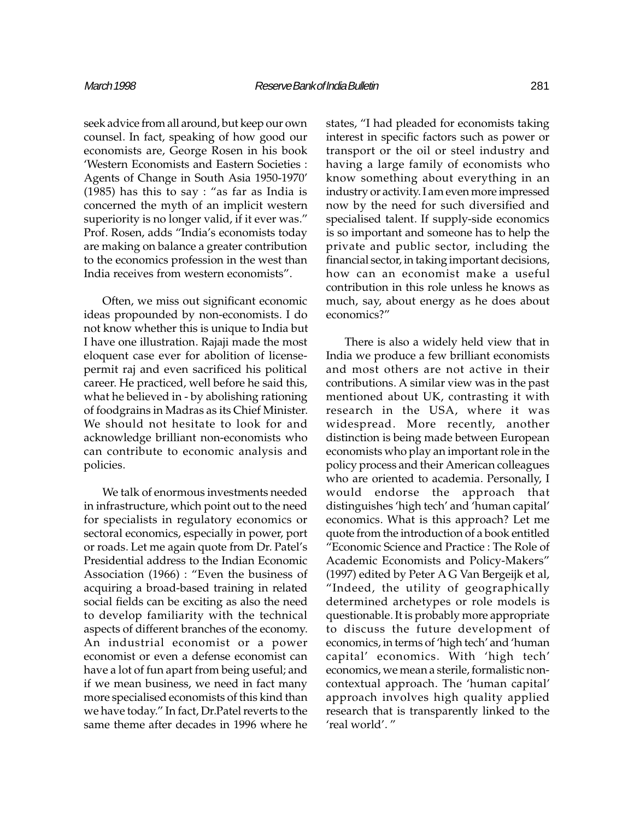seek advice from all around, but keep our own counsel. In fact, speaking of how good our economists are, George Rosen in his book Western Economists and Eastern Societies : Agents of Change in South Asia 1950-1970  $(1985)$  has this to say : "as far as India is concerned the myth of an implicit western superiority is no longer valid, if it ever was." Prof. Rosen, adds "India's economists today are making on balance a greater contribution to the economics profession in the west than India receives from western economists".

Often, we miss out significant economic ideas propounded by non-economists. I do not know whether this is unique to India but I have one illustration. Rajaji made the most eloquent case ever for abolition of licensepermit raj and even sacrificed his political career. He practiced, well before he said this, what he believed in - by abolishing rationing of foodgrains in Madras as its Chief Minister. We should not hesitate to look for and acknowledge brilliant non-economists who can contribute to economic analysis and policies.

We talk of enormous investments needed in infrastructure, which point out to the need for specialists in regulatory economics or sectoral economics, especially in power, port or roads. Let me again quote from Dr. Patel's Presidential address to the Indian Economic Association (1966) : "Even the business of acquiring a broad-based training in related social fields can be exciting as also the need to develop familiarity with the technical aspects of different branches of the economy. An industrial economist or a power economist or even a defense economist can have a lot of fun apart from being useful; and if we mean business, we need in fact many more specialised economists of this kind than we have today." In fact, Dr.Patel reverts to the same theme after decades in 1996 where he

states, "I had pleaded for economists taking interest in specific factors such as power or transport or the oil or steel industry and having a large family of economists who know something about everything in an industry or activity. I am even more impressed now by the need for such diversified and specialised talent. If supply-side economics is so important and someone has to help the private and public sector, including the financial sector, in taking important decisions, how can an economist make a useful contribution in this role unless he knows as much, say, about energy as he does about economics?

There is also a widely held view that in India we produce a few brilliant economists and most others are not active in their contributions. A similar view was in the past mentioned about UK, contrasting it with research in the USA, where it was widespread. More recently, another distinction is being made between European economists who play an important role in the policy process and their American colleagues who are oriented to academia. Personally, I would endorse the approach that distinguishes 'high tech' and 'human capital' economics. What is this approach? Let me quote from the introduction of a book entitled Economic Science and Practice : The Role of Academic Economists and Policy-Makers (1997) edited by Peter A G Van Bergeijk et al, "Indeed, the utility of geographically determined archetypes or role models is questionable. It is probably more appropriate to discuss the future development of economics, in terms of 'high tech' and 'human capital' economics. With 'high tech' economics, we mean a sterile, formalistic noncontextual approach. The 'human capital' approach involves high quality applied research that is transparently linked to the 'real world'."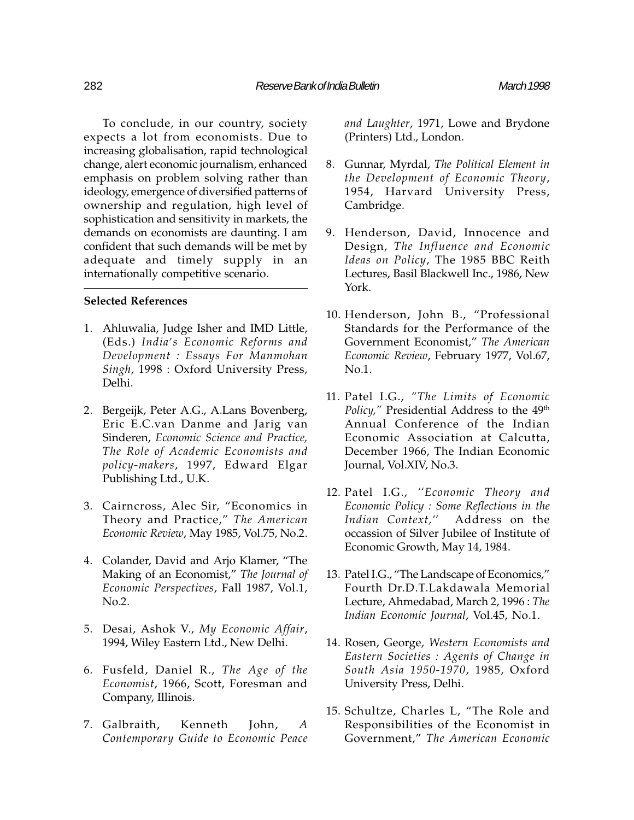To conclude, in our country, society expects a lot from economists. Due to increasing globalisation, rapid technological change, alert economic journalism, enhanced emphasis on problem solving rather than ideology, emergence of diversified patterns of ownership and regulation, high level of sophistication and sensitivity in markets, the demands on economists are daunting. I am confident that such demands will be met by adequate and timely supply in an internationally competitive scenario.

#### Selected References

- 1. Ahluwalia, Judge Isher and IMD Little, (Eds.) India's Economic Reforms and Development : Essays For Manmohan Singh, 1998 : Oxford University Press, Delhi.
- 2. Bergeijk, Peter A.G., A.Lans Bovenberg, Eric E.C.van Danme and Jarig van Sinderen, Economic Science and Practice, The Role of Academic Economists and policy-makers, 1997, Edward Elgar Publishing Ltd., U.K.
- 3. Cairncross, Alec Sir, "Economics in Theory and Practice," The American Economic Review, May 1985, Vol.75, No.2.
- 4. Colander, David and Arjo Klamer, "The Making of an Economist," The Journal of Economic Perspectives, Fall 1987, Vol.1, No.2.
- 5. Desai, Ashok V., My Economic Affair, 1994, Wiley Eastern Ltd., New Delhi.
- 6. Fusfeld, Daniel R., The Age of the Economist, 1966, Scott, Foresman and Company, Illinois.
- 7. Galbraith, Kenneth John, A Contemporary Guide to Economic Peace

and Laughter, 1971, Lowe and Brydone (Printers) Ltd., London.

- 8. Gunnar, Myrdal, The Political Element in the Development of Economic Theory, 1954, Harvard University Press, Cambridge.
- 9. Henderson, David, Innocence and Design, The Influence and Economic Ideas on Policy, The 1985 BBC Reith Lectures, Basil Blackwell Inc., 1986, New York.
- 10. Henderson, John B., "Professional Standards for the Performance of the Government Economist," The American Economic Review, February 1977, Vol.67, No.1.
- 11. Patel I.G., "The Limits of Economic Policy," Presidential Address to the 49<sup>th</sup> Annual Conference of the Indian Economic Association at Calcutta, December 1966, The Indian Economic Journal, Vol.XIV, No.3.
- 12. Patel I.G., "Economic Theory and Economic Policy : Some Reflections in the Indian Context." Address on the occassion of Silver Jubilee of Institute of Economic Growth, May 14, 1984.
- 13. Patel I.G., "The Landscape of Economics," Fourth Dr.D.T.Lakdawala Memorial Lecture, Ahmedabad, March 2, 1996 : The Indian Economic Journal, Vol.45, No.1.
- 14. Rosen, George, Western Economists and Eastern Societies : Agents of Change in South Asia 1950-1970, 1985, Oxford University Press, Delhi.
- 15. Schultze, Charles L, "The Role and Responsibilities of the Economist in Government," The American Economic